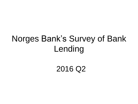## Norges Bank's Survey of Bank Lending

2016 Q2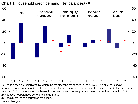

**Chart 1** Household credit demand. Net balances<sup>1), 2)</sup>

1) Net balances are calculated by weighting together the responses in the survey. The blue bars show reported developments for the relevant quarter. The red diamonds show expected developments for that quarter. As from 2015 Q2, there are nine banks in the sample and the weights are based on market shares in 2014. 2) Negative net balances denote falling demand.

3) Repayment loans secured on dwellings.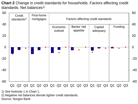**Chart 2** Change in credit standards for households. Factors affecting credit standards. Net balances<sup>1)</sup>



1) See footnote 1 in Chart 1.

2) Negative net balances denote tighter credit standards.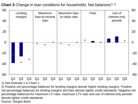**Chart 3** Change in loan conditions for households. Net balances<sup>1), 2)</sup>



1) See footnote 1 in Chart 1.

2) Positive net percentage balances for lending margins denote higher lending margins. Positive net percentage balances for lending margins and fees denote tighter credit standards. Negative net percentage balances for maximum LTI ratio, maximum LTV ratio and use of interest-only periods denote tighter credit standards.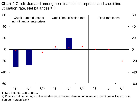**Chart 4** Credit demand among non-financial enterprises and credit line utilisation rate. Net balances<sup>1), 2)</sup>



1) See footnote 1 in Chart 1.

2) Positive net percentage balances denote increased demand or increased credit line utilisation rate. Source: Norges Bank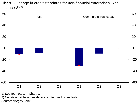**Chart 5** Change in credit standards for non-financial enterprises. Net balances $1, 2)$ 



1) See footnote 1 in Chart 1.

2) Negative net balances denote tighter credit standards.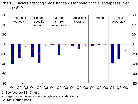**Chart 6** Factors affecting credit standards for non-financial enterprises. Net balances $1, 2)$ 



1) See footnote 1 in Chart 1.

2) Negative net balances denote tighter credit standards.